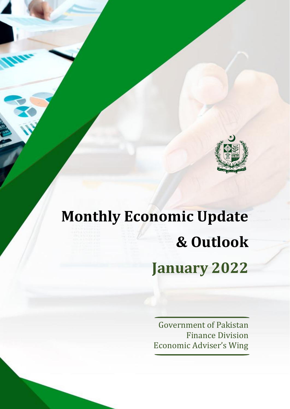

# **Monthly Economic Update & Outlook January 2022**

Government of Pakistan Finance Division Economic Adviser's Wing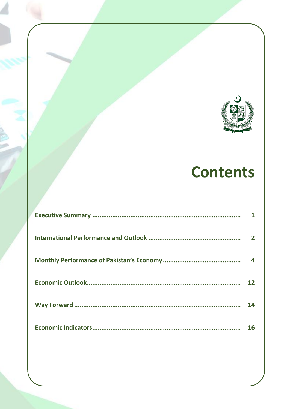

# **Contents**

| 14 |
|----|
| 16 |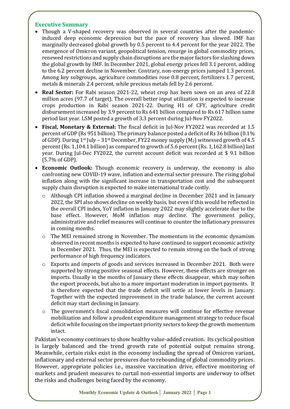# **Executive Summary**

- Though a V-shaped recovery was observed in several countries after the pandemicinduced deep economic depression but the pace of recovery has slowed. IMF has marginally decreased global growth by 0.5 percent to 4.4 percent for the year 2022. The emergence of Omicron variant, geopolitical tension, resurge in global commodity prices, renewed restrictions and supply chain disruptions are the major factors for slashing down the global growth by IMF. In December 2021, global energy prices fell 3.1 percent, adding to the 6.2 percent decline in November. Contrary, non-energy prices jumped 1.3 percent. Among key subgroups, agriculture commodities rose 0.8 percent, fertilizers 1.7 percent, metals & minerals 2.4 percent, while precious metals fell by 2.6 percent.
- **Real Sector:** For Rabi season 2021-22, wheat crop has been sown on an area of 22.8 million acres (97.7 of target). The overall better input utilization is expected to increase crops production in Rabi season 2021-22. During H1 of CFY, agriculture credit disbursement increased by 3.9 percent to Rs 641 billion compared to Rs 617 billion same period last year. LSM posted a growth of 3.3 percent during Jul-Nov FY2022.
- **Fiscal, Monetary & External:** The fiscal deficit in Jul-Nov FY2022 was recorded at 1.5 percent of GDP (Rs 951 billion). The primary balance posted a deficit of Rs 36 billion (0.1% of GDP). During  $1^{st}$  July –  $31^{st}$  December, FY22 money supply  $(M_2)$  witnessed growth of 4.5 percent (Rs. 1,104.1 billion) as compared to growth of 5.6 percent (Rs. 1,162.8 billion) last year. During Jul-Dec FY2022, the current account deficit was recorded at \$ 9.1 billion (5.7% of GDP).
- **Economic Outlook:** Though economic recovery is underway, the economy is also confronting new COVID-19 wave, inflation and external sector pressure. The rising global inflation along with the significant increase in transportation cost and the subsequent supply chain disruption is expected to make international trade costly.
	- $\circ$  Although CPI inflation showed a marginal decline in December 2021 and in January 2022, the SPI also shows decline on weekly basis, but even if this would be reflected in the overall CPI index, YoY inflation in January 2022 may slightly accelerate due to the base effect. However, MoM inflation may decline. The government policy, administrative and relief measures will continue to counter the inflationary pressures in coming months.
	- o The MEI remained strong in November. The momentum in the economic dynamism observed in recent months is expected to have continued to support economic activity in December 2021. Thus, the MEI is expected to remain strong on the back of strong performance of high frequency indicators.
	- o Exports and imports of goods and services increased in December 2021. Both were supported by strong positive seasonal effects. However, these effects are stronger on imports. Usually in the months of January these effects disappear, which may soften the export proceeds, but also to a more important moderation in import payments. It is therefore expected that the trade deficit will settle at lower levels in January. Together with the expected improvement in the trade balance, the current account deficit may start declining in January.
	- o The government's fiscal consolidation measures will continue for effective revenue mobilization and follow a prudent expenditure management strategy to reduce fiscal deficit while focusing on the important priority sectors to keep the growth momentum intact.

Pakistan's economy continues to show healthy value-added creation. Its cyclical position is largely balanced and the trend growth rate of potential output remains strong. Meanwhile, certain risks exist in the economy including the spread of Omicron variant, inflationary and external sector pressures due to rebounding of global commodity prices. However, appropriate policies i.e., massive vaccination drive, effective monitoring of markets and prudent measures to curtail non-essential imports are underway to offset the risks and challenges being faced by the economy.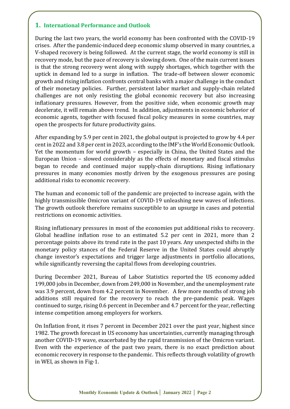# **1. International Performance and Outlook**

During the last two years, the world economy has been confronted with the COVID-19 crises. After the pandemic-induced deep economic slump observed in many countries, a V-shaped recovery is being followed. At the current stage, the world economy is still in recovery mode, but the pace of recovery is slowing down. One of the main current issues is that the strong recovery went along with supply shortages, which together with the uptick in demand led to a surge in inflation. The trade-off between slower economic growth and rising inflation confronts central banks with a major challenge in the conduct of their monetary policies. Further, persistent labor market and supply-chain related challenges are not only resisting the global economic recovery but also increasing inflationary pressures. However, from the positive side, when economic growth may decelerate, it will remain above trend. In addition, adjustments in economic behavior of economic agents, together with focused fiscal policy measures in some countries, may open the prospects for future productivity gains.

After expanding by 5.9 per cent in 2021, the global output is projected to grow by 4.4 per cent in 2022 and 3.8 per cent in 2023, according to the IMF's the World Economic Outlook. Yet the momentum for world growth – especially in China, the United States and the European Union – slowed considerably as the effects of monetary and fiscal stimulus began to recede and continued major supply-chain disruptions. Rising inflationary pressures in many economies mostly driven by the exogenous pressures are posing additional risks to economic recovery.

The human and economic toll of the pandemic are projected to increase again, with the highly transmissible Omicron variant of COVID-19 unleashing new waves of infections. The growth outlook therefore remains susceptible to an upsurge in cases and potential restrictions on economic activities.

Rising inflationary pressures in most of the economies put additional risks to recovery. Global headline inflation rose to an estimated 5.2 per cent in 2021, more than 2 percentage points above its trend rate in the past 10 years. Any unexpected shifts in the monetary policy stances of the Federal Reserve in the United States could abruptly change investor's expectations and trigger large adjustments in portfolio allocations, while significantly reversing the capital flows from developing countries.

During December 2021, Bureau of Labor Statistics reported the US economy [added](https://www.bls.gov/news.release/empsit.nr0.htm)  [199,000 jobs in December,](https://www.bls.gov/news.release/empsit.nr0.htm) down from 249,000 in November, and the unemployment rate was 3.9 percent, down from 4.2 percent in November. A few more months of strong job additions still required for the recovery to reach the pre-pandemic peak. Wages continued to surge, rising 0.6 percent in December and 4.7 percent for the year, reflecting intense competition among employers for workers.

On Inflation front, it rises 7 percent in December 2021 over the past year, highest since 1982. The growth forecast in US economy has uncertainties, currently managing through another COVID-19 wave, exacerbated by the rapid transmission of the Omicron variant. Even with the experience of the past two years, there is no exact prediction about economic recovery in response to the pandemic. This reflects through volatility of growth in WEI, as shown in Fig-1.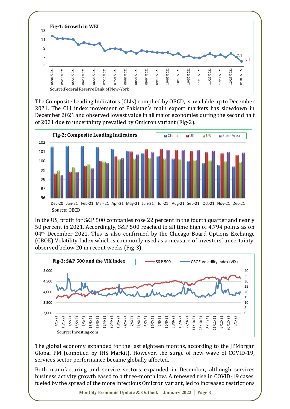

The Composite Leading Indicators (CLIs) complied by OECD, is available up to December 2021. The CLI index movement of Pakistan's main export markets has slowdown in December 2021 and observed lowest value in all major economies during the second half of 2021 due to uncertainty prevailed by Omicron variant (Fig-2).



In the US, profit for S&P 500 companies rose 22 percent in the fourth quarter and nearly 50 percent in 2021. Accordingly, S&P 500 reached to all time high of 4,794 points as on 04<sup>th</sup> December 2021. This is also confirmed by the Chicago Board Options Exchange (CBOE) Volatility Index which is commonly used as a measure of investors' uncertainty, observed below 20 in recent weeks (Fig-3).



The global economy expanded for the last eighteen months, according to the JPMorgan Global PM (compiled by IHS Markit). However, the surge of new wave of COVID-19, services sector performance became globally affected.

Both manufacturing and service sectors expanded in December, although services business activity growth eased to a three-month low. A renewed rise in COVID-19 cases, fueled by the spread of the more infectious Omicron variant, led to increased restrictions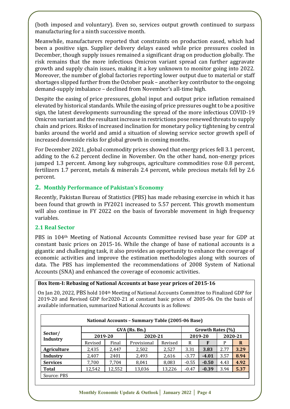(both imposed and voluntary). Even so, services output growth continued to surpass manufacturing for a ninth successive month.

Meanwhile, manufacturers reported that constraints on production eased, which had been a positive sign. Supplier delivery delays eased while price pressures cooled in December, though supply issues remained a significant drag on production globally. The risk remains that the more infectious Omicron variant spread can further aggravate growth and supply chain issues, making it a key unknown to monitor going into 2022. Moreover, the number of global factories reporting lower output due to material or staff shortages slipped further from the October peak – another key contributor to the ongoing demand-supply imbalance – declined from November's all-time high.

Despite the easing of price pressures, global input and output price inflation remained elevated by historical standards. While the easing of price pressures ought to be a positive sign, the latest developments surrounding the spread of the more infectious COVID-19 Omicron variant and the resultant increase in restrictions pose renewed threats to supply chain and prices. Risks of increased inclination for monetary policy tightening by central banks around the world and amid a situation of slowing service sector growth spell of increased downside risks for global growth in coming months.

For December 2021, global commodity prices showed that energy prices fell 3.1 percent, adding to the 6.2 percent decline in November. On the other hand, non-energy prices jumped 1.3 percent. Among key subgroups, agriculture commodities rose 0.8 percent, fertilizers 1.7 percent, metals & minerals 2.4 percent, while precious metals fell by 2.6 percent.

# **2. Monthly Performance of Pakistan's Economy**

Recently, Pakistan Bureau of Statistics (PBS) has made rebasing exercise in which it has been found that growth in FY2021 increased to 5.57 percent. This growth momentum will also continue in FY 2022 on the basis of favorable movement in high frequency variables.

## **2.1 Real Sector**

PBS in 104th Meeting of National Accounts Committee revised base year for GDP at constant basic prices on 2015-16. While the change of base of national accounts is a gigantic and challenging task, it also provides an opportunity to enhance the coverage of economic activities and improve the estimation methodologies along with sources of data. The PBS has implemented the recommendations of 2008 System of National Accounts (SNA) and enhanced the coverage of economic activities.

## **Box Item-I: Rebasing of National Accounts at base year prices of 2015-16**

On Jan 20, 2022, PBS hold 104th Meeting of National Accounts Committee to Finalized GDP for 2019-20 and Revised GDP for2020-21 at constant basic prices of 2005-06. On the basis of available information, summarized National Accounts is as follows:

|                     |         |        | National Accounts - Summary Table (2005-06 Base) |                  |         |         |      |         |
|---------------------|---------|--------|--------------------------------------------------|------------------|---------|---------|------|---------|
|                     |         |        | GVA (Rs. Bn.)                                    | Growth Rates (%) |         |         |      |         |
| Sector/<br>Industry | 2019-20 |        | 2020-21                                          |                  | 2019-20 |         |      | 2020-21 |
|                     | Revised | Final  | Provisional                                      | Revised          | R       | F       | P    | R       |
| <b>Agriculture</b>  | 2,435   | 2,447  | 2,502                                            | 2,527            | 3.31    | 3.83    | 2.77 | 3.29    |
| Industry            | 2,407   | 2401   | 2,493                                            | 2,616            | $-3.77$ | $-4.01$ | 3.57 | 8.94    |
| <b>Services</b>     | 7,700   | 7,704  | 8,041                                            | 8,083            | $-0.55$ | $-0.50$ | 4.43 | 4.92    |
| <b>Total</b>        | 12,542  | 12,552 | 13,036                                           | 13,226           | $-0.47$ | $-0.39$ | 3.94 | 5.37    |
| Source: PBS         |         |        |                                                  |                  |         |         |      |         |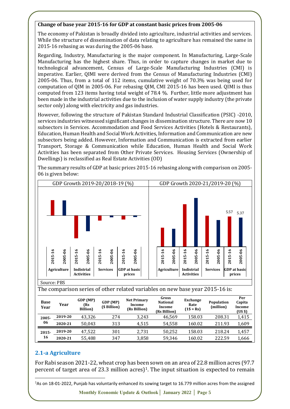#### **Change of base year 2015-16 for GDP at constant basic prices from 2005-06**

The economy of Pakistan is broadly divided into agriculture, industrial activities and services. While the structure of dissemination of data relating to agriculture has remained the same in 2015-16 rebasing as was during the 2005-06 base.

Regarding, Industry, Manufacturing is the major component. In Manufacturing, Large-Scale Manufacturing has the highest share. Thus, in order to capture changes in market due to technological advancement, Census of Large-Scale Manufacturing Industries (CMI) is imperative. Earlier, QIMI were derived from the Census of Manufacturing Industries (CMI) 2005-06. Thus, from a total of 112 items, cumulative weight of 70.3% was being used for computation of QIM in 2005-06. For rebasing QIM, CMI 2015-16 has been used. QIMI is thus computed from 123 items having total weight of 78.4 %. Further, little more adjustment has been made in the industrial activities due to the inclusion of water supply industry (the private sector only) along with electricity and gas industries.

However, following the structure of Pakistan Standard Industrial Classification (PSIC) -2010, services industries witnessed significant changes in dissemination structure. There are now 10 subsectors in Services. Accommodation and Food Services Activities (Hotels & Restaurants), Education, Human Health and Social Work Activities, Information and Communication are new subsectors being added. However, Information and Communication is extracted from earlier Transport, Storage & Communication while Education, Human Health and Social Work Activities has been separated from Other Private Services. Housing Services (Ownership of Dwellings) is reclassified as Real Estate Activities (OD)

The summary results of GDP at basic prices 2015-16 rebasing along with comparison on 2005- 06 is given below:



|                     | 2015-16 | 2005-06<br>Agriculture                                                                                                                                                                                                  | 2015-16 | 2005-06<br><b>Indistrial</b>        | 2015-16 | 2005-06<br><b>Services</b> | 2015-16 | 2005-06<br><b>GDP</b> at basic               |       | 2015-16                                            | 2005-06<br><b>Agriculture</b> | 2015-16<br>Indistrial | 2005-06                                | 2015-16 | 2005-06<br><b>Services</b> | 2015-16 | 2005-06<br><b>GDP</b> at basid   |  |
|---------------------|---------|-------------------------------------------------------------------------------------------------------------------------------------------------------------------------------------------------------------------------|---------|-------------------------------------|---------|----------------------------|---------|----------------------------------------------|-------|----------------------------------------------------|-------------------------------|-----------------------|----------------------------------------|---------|----------------------------|---------|----------------------------------|--|
|                     |         |                                                                                                                                                                                                                         |         | <b>Activities</b>                   |         |                            |         | prices                                       |       |                                                    |                               |                       | <b>Activities</b>                      |         |                            |         | prices                           |  |
|                     |         | Source: PBS                                                                                                                                                                                                             |         |                                     |         |                            |         |                                              |       |                                                    |                               |                       |                                        |         |                            |         |                                  |  |
|                     |         | The comparison series of other related variables on new base year 2015-16 is:                                                                                                                                           |         |                                     |         |                            |         |                                              |       |                                                    |                               |                       |                                        |         |                            |         |                                  |  |
| <b>Base</b><br>Year |         | Year                                                                                                                                                                                                                    |         | GDP (MP)<br>(Rs<br><b>Billion</b> ) |         | GDP (MP)<br>(\$ Billion)   |         | <b>Net Primary</b><br>Income<br>(Rs Billion) |       | Gross<br><b>National</b><br>Income<br>(Rs Billion) |                               |                       | <b>Exchange</b><br>Rate<br>$(1$ = Rs)$ |         | Population<br>(million)    |         | Per<br>Capita<br>Income<br>(USS) |  |
| 2005-               |         | 2019-20                                                                                                                                                                                                                 |         | 43,326                              |         | 274                        |         |                                              | 3,243 |                                                    | 46,569                        |                       | 158.03                                 |         | 208.31                     |         | 1,415                            |  |
| 06                  |         | 2020-21                                                                                                                                                                                                                 |         | 50,043                              |         | 313                        |         |                                              | 4,515 |                                                    | 54,558                        |                       | 160.02                                 |         | 211.93                     |         | 1,609                            |  |
| $2015 -$            |         | 2019-20                                                                                                                                                                                                                 |         | 47,522                              |         | 301                        |         |                                              | 2,731 |                                                    | 50,252                        |                       | 158.03                                 |         | 218.24                     |         | 1,457                            |  |
| 16                  |         | 2020-21                                                                                                                                                                                                                 |         | 55,488                              |         | 347                        |         |                                              | 3,858 |                                                    | 59,346                        |                       | 160.02                                 |         | 222.59                     |         | 1,666                            |  |
|                     |         | 2.1-a Agriculture<br>For Rabi season 2021-22, wheat crop has been sown on an area of 22.8 million acres (97.7<br>percent of target area of 23.3 million acres) <sup>1</sup> . The input situation is expected to remain |         |                                     |         |                            |         |                                              |       |                                                    |                               |                       |                                        |         |                            |         |                                  |  |
|                     |         | ${}^{1}$ As on 18-01-2022, Punjab has voluntarily enhanced its sowing target to 16.779 million acres from the assigned                                                                                                  |         |                                     |         |                            |         |                                              |       |                                                    |                               |                       |                                        |         |                            |         |                                  |  |

## **2.1-a Agriculture**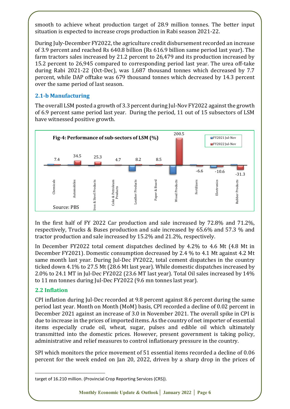smooth to achieve wheat production target of 28.9 million tonnes. The better input situation is expected to increase crops production in Rabi season 2021-22.

During July-December FY2022, the agriculture credit disbursement recorded an increase of 3.9 percent and reached Rs 640.8 billion (Rs 616.9 billion same period last year). The farm tractors sales increased by 21.2 percent to 26,479 and its production increased by 15.2 percent to 26,945 compared to corresponding period last year. The urea off-take during Rabi 2021-22 (Oct-Dec), was 1,687 thousand tonnes which decreased by 7.7 percent, while DAP offtake was 679 thousand tonnes which decreased by 14.3 percent over the same period of last season.

# **2.1-b Manufacturing**

The overall LSM posted a growth of 3.3 percent during Jul-Nov FY2022 against the growth of 6.9 percent same period last year. During the period, 11 out of 15 subsectors of LSM have witnessed positive growth.



In the first half of FY 2022 Car production and sale increased by 72.8% and 71.2%, respectively, Trucks & Buses production and sale increased by 65.6% and 57.3 % and tractor production and sale increased by 15.2% and 21.2%, respectively.

In December FY2022 total cement dispatches declined by 4.2% to 4.6 Mt (4.8 Mt in December FY2021). Domestic consumption decreased by 2.4 % to 4.1 Mt against 4.2 Mt same month last year. During Jul-Dec FY2022, total cement dispatches in the country ticked down 4.1% to 27.5 Mt (28.6 Mt last year). While domestic dispatches increased by 2.0% to 24.1 MT in Jul-Dec FY2022 (23.6 MT last year). Total Oil sales increased by 14% to 11 mn tonnes during Jul-Dec FY2022 (9.6 mn tonnes last year).

# **2.2 Inflation**

<u>.</u>

CPI inflation during Jul-Dec recorded at 9.8 percent against 8.6 percent during the same period last year. Month on Month (MoM) basis, CPI recorded a decline of 0.02 percent in December 2021 against an increase of 3.0 in November 2021. The overall spike in CPI is due to increase in the prices of imported items. As the country of net importer of essential items especially crude oil, wheat, sugar, pulses and edible oil which ultimately transmitted into the domestic prices. However, present government is taking policy, administrative and relief measures to control inflationary pressure in the country.

SPI which monitors the price movement of 51 essential items recorded a decline of 0.06 percent for the week ended on Jan 20, 2022, driven by a sharp drop in the prices of

target of 16.210 million. (Provincial Crop Reporting Services (CRS)).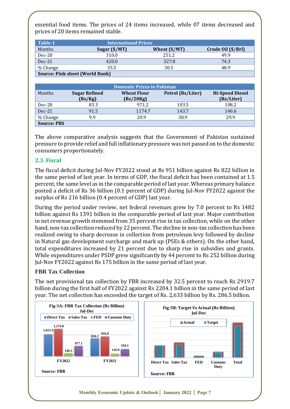essential food items. The prices of 24 items increased, while 07 items decreased and prices of 20 items remained stable.

| Table-1                                | <b>International Prices</b> |                        |                    |
|----------------------------------------|-----------------------------|------------------------|--------------------|
| Months                                 | Sugar $(\frac{5}{MT})$      | Wheat $(\frac{5}{MT})$ | Crude Oil (\$/Brl) |
| $Dec-20$                               | 310.0                       | 251.2                  | 49.9               |
| $Dec-21$                               | 420.0                       | 327.8                  | 74.3               |
| % Change                               | 35.5                        | 30.5                   | 48.9               |
| <b>Source: Pink sheet (World Bank)</b> |                             |                        |                    |

|                    |                                 | <b>Domestic Prices in Pakistan</b> |                   |                                      |
|--------------------|---------------------------------|------------------------------------|-------------------|--------------------------------------|
| Months             | <b>Sugar Refined</b><br>(Rs/Kg) | <b>Wheat Flour</b><br>(Rs/20Kg)    | Petrol (Rs/Liter) | <b>Hi-Speed Diesel</b><br>(Rs/Liter) |
| $Dec-20$           | 83.3                            | 971.2                              | 103.5             | 108.2                                |
| $Dec-21$           | 91.5                            | 1174.7                             | 143.7             | 140.6                                |
| % Change           | 9.9                             | 20.9                               | 38.9              | 29.9                                 |
| <b>Source: PBS</b> |                                 |                                    |                   |                                      |

The above comparative analysis suggests that the Government of Pakistan sustained pressure to provide relief and full inflationary pressure was not passed on to the domestic consumers proportionately.

# **2.3. Fiscal**

The fiscal deficit during Jul-Nov FY2022 stood at Rs 951 billion against Rs 822 billion in the same period of last year. In terms of GDP, the fiscal deficit has been contained at 1.5 percent, the same level as in the comparable period of last year. Whereas primary balance posted a deficit of Rs 36 billion (0.1 percent of GDP) during Jul-Nov FY2022 against the surplus of Rs 216 billion (0.4 percent of GDP) last year.

During the period under review, net federal revenues grew by 7.0 percent to Rs 1482 billion against Rs 1391 billion in the comparable period of last year. Major contribution in net revenue growth stemmed from 35 percent rise in tax collection, while on the other hand, non-tax collection reduced by 22 percent. The decline in non-tax collection has been realized owing to sharp decrease in collection from petroleum levy followed by decline in Natural gas development surcharge and mark up (PSEs & others). On the other hand, total expenditures increased by 21 percent due to sharp rise in subsidies and grants. While expenditures under PSDP grew significantly by 44 percent to Rs 252 billion during Jul-Nov FY2022 against Rs 175 billion in the same period of last year.

# **FBR Tax Collection**

The net provisional tax collection by FBR increased by 32.5 percent to reach Rs 2919.7 billion during the first half of FY2022 against Rs 2204.1 billion in the same period of last year. The net collection has exceeded the target of Rs. 2,633 billion by Rs. 286.5 billion.

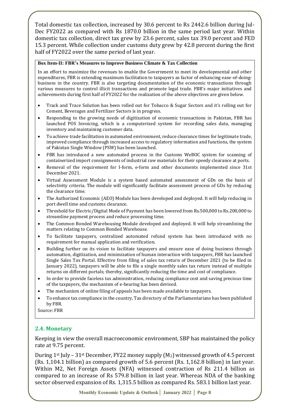Total domestic tax collection, increased by 30.6 percent to Rs 2442.6 billion during Jul-Dec FY2022 as compared with Rs 1870.0 billion in the same period last year. Within domestic tax collection, direct tax grew by 23.6 percent, sales tax 39.0 percent and FED 15.3 percent. While collection under customs duty grew by 42.8 percent during the first half of FY2022 over the same period of last year.

#### **Box Item-II: FBR's Measures to Improve Business Climate & Tax Collection**

In an effort to maximize the revenues to enable the Government to meet its developmental and other expenditures, FBR is extending maximum facilitation to taxpayers as factor of enhancing ease-of-doingbusiness in the country. FBR is also targeting documentation of the economic transactions through various measures to control illicit transactions and promote legal trade. FBR's major initiatives and achievements during first half of FY2022 for the realization of the above objectives are given below.

- Track and Trace Solution has been rolled out for Tobacco & Sugar Sectors and it's rolling out for Cement, Beverages and Fertilizer Sectors is in progress.
- Responding to the growing needs of digitization of economic transactions in Pakistan, FBR has launched POS Invoicing, which is a computerized system for recording sales data, managing inventory and maintaining customer data.
- To achieve trade facilitation in automated environment, reduce clearance times for legitimate trade, improved compliance through increased access to regulatory information and functions, the system of Pakistan Single Window (PSW) has been launched.
- FBR has introduced a new automated process in the Customs WeBOC system for scanning of containerized import consignments of industrial raw materials for their speedy clearance at ports.
- Removal of the requirement for I-form, e-form and other documents implemented since 31st December 2021.
- Virtual Assessment Module is a system based automated assessment of GDs on the basis of selectivity criteria. The module will significantly facilitate assessment process of GDs by reducing the clearance time.
- The Authorized Economic (AEO) Module has been developed and deployed. It will help reducing in port dwell time and customs clearance.
- Threshold for Electric/Digital Mode of Payment has been lowered from Rs.500,000 to Rs.200,000 to streamline payment process and reduce processing time.
- The Common Bonded Warehousing Module developed and deployed. It will help streamlining the matters relating to Common Bonded Warehouse.
- To facilitate taxpayers, centralized automated refund system has been introduced with no requirement for manual application and verification.
- Building further on its vision to facilitate taxpayers and ensure ease of doing business through automation, digitization, and minimization of human interaction with taxpayers, FBR has launched Single Sales Tax Portal. Effective from filing of sales tax return of December 2021 (to be filed in January 2022), taxpayers will be able to file a single monthly sales tax return instead of multiple returns on different portals; thereby, significantly reducing the time and cost of compliance.
- In order to provide faceless tax administration, reducing compliance cost and saving precious time of the taxpayers, the mechanism of e-hearing has been devised.
- The mechanism of online filing of appeals has been made available to taxpayers.
- To enhance tax compliance in the country, Tax directory of the Parliamentarians has been published by FBR.

Source: FBR

## **2.4. Monetary**

Keeping in view the overall macroeconomic environment, SBP has maintained the policy rate at 9.75 percent.

During  $1^{st}$  July –  $31^{st}$  December, FY22 money supply  $(M_2)$  witnessed growth of 4.5 percent (Rs. 1,104.1 billion) as compared growth of 5.6 percent (Rs. 1,162.8 billion) in last year. Within M2, Net Foreign Assets (NFA) witnessed contraction of Rs 211.4 billion as compared to an increase of Rs 579.8 billion in last year. Whereas NDA of the banking sector observed expansion of Rs. 1,315.5 billion as compared Rs. 583.1 billion last year.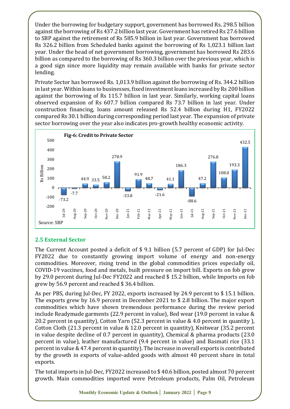Under the borrowing for budgetary support, government has borrowed Rs. 298.5 billion against the borrowing of Rs 437.2 billion last year. Government has retired Rs 27.6 billion to SBP against the retirement of Rs 585.9 billion in last year. Government has borrowed Rs 326.2 billion from Scheduled banks against the borrowing of Rs 1,023.1 billion last year. Under the head of net government borrowing, government has borrowed Rs 283.6 billion as compared to the borrowing of Rs 360.3 billion over the previous year, which is a good sign since more liquidity may remain available with banks for private sector lending.

Private Sector has borrowed Rs. 1,013.9 billion against the borrowing of Rs. 344.2 billion in last year. Within loans to businesses, fixed investment loans increased by Rs 200 billion against the borrowing of Rs 115.7 billion in last year. Similarly, working capital loans observed expansion of Rs 607.7 billion compared Rs 73.7 billion in last year. Under construction financing, loans amount released Rs 52.4 billion during H1, FY2022 compared Rs 30.1 billion during corresponding period last year. The expansion of private sector borrowing over the year also indicates pro-growth healthy economic activity.



# **2.5 External Sector**

The Current Account posted a deficit of \$ 9.1 billion (5.7 percent of GDP) for Jul-Dec FY2022 due to constantly growing import volume of energy and non-energy commodities. Moreover, rising trend in the global commodities prices especially oil, COVID-19 vaccines, food and metals, built pressure on import bill. Exports on fob grew by 29.0 percent during Jul-Dec FY2022 and reached \$ 15.2 billion, while Imports on fob grew by 56.9 percent and reached \$ 36.4 billion.

As per PBS, during Jul-Dec, FY 2022, exports increased by 24.9 percent to \$ 15.1 billion. The exports grew by 16.9 percent in December 2021 to \$ 2.8 billion. The major export commodities which have shown tremendous performance during the review period include Readymade garments (22.9 percent in value), Bed wear (19.0 percent in value & 20.2 percent in quantity), Cotton Yarn (52.3 percent in value & 4.0 percent in quantity ), Cotton Cloth (21.3 percent in value & 12.0 percent in quantity), Knitwear (35.2 percent in value despite decline of 0.7 percent in quantity), Chemical & pharma products (23.0 percent in value), leather manufactured (9.4 percent in value) and Basmati rice (33.1 percent in value & 47.4 percent in quantity). The increase in overall exports is contributed by the growth in exports of value-added goods with almost 40 percent share in total exports.

The total imports in Jul-Dec, FY2022 increased to \$ 40.6 billion, posted almost 70 percent growth. Main commodities imported were Petroleum products, Palm Oil, Petroleum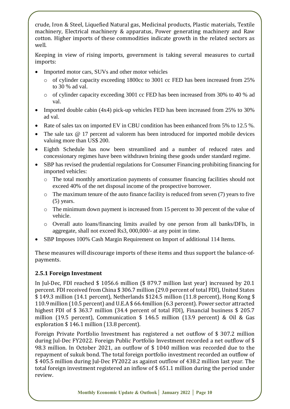crude, Iron & Steel, Liquefied Natural gas, Medicinal products, Plastic materials, Textile machinery, Electrical machinery & apparatus, Power generating machinery and Raw cotton. Higher imports of these commodities indicate growth in the related sectors as well.

Keeping in view of rising imports, government is taking several measures to curtail imports:

- Imported motor cars, SUVs and other motor vehicles
	- o of cylinder capacity exceeding 1800cc to 3001 cc FED has been increased from 25% to 30 % ad val.
	- o of cylinder capacity exceeding 3001 cc FED has been increased from 30% to 40 % ad val.
- Imported double cabin (4x4) pick-up vehicles FED has been increased from 25% to 30% ad val.
- Rate of sales tax on imported EV in CBU condition has been enhanced from 5% to 12.5 %.
- The sale tax  $\omega$  17 percent ad valorem has been introduced for imported mobile devices valuing more than US\$ 200.
- Eighth Schedule has now been streamlined and a number of reduced rates and concessionary regimes have been withdrawn brining these goods under standard regime.
- SBP has revised the prudential regulations for Consumer Financing prohibiting financing for imported vehicles:
	- o The total monthly amortization payments of consumer financing facilities should not exceed 40% of the net disposal income of the prospective borrower.
	- o The maximum tenure of the auto finance facility is reduced from seven (7) years to five (5) years.
	- o The minimum down payment is increased from 15 percent to 30 percent of the value of vehicle.
	- o Overall auto loans/financing limits availed by one person from all banks/DFIs, in aggregate, shall not exceed Rs3, 000,000/- at any point in time.
- SBP Imposes 100% Cash Margin Requirement on Import of additional 114 Items.

These measures will discourage imports of these items and thus support the balance-ofpayments.

# **2.5.1 Foreign Investment**

In Jul-Dec, FDI reached \$ 1056.6 million (\$ 879.7 million last year) increased by 20.1 percent. FDI received from China \$ 306.7 million (29.0 percent of total FDI), United States \$ 149.3 million (14.1 percent), Netherlands \$124.5 million (11.8 percent), Hong Kong \$ 110.9 million (10.5 percent) and U.E.A \$ 66.4million (6.3 percent). Power sector attracted highest FDI of \$ 363.7 million (34.4 percent of total FDI), Financial business \$ 205.7 million (19.5 percent), Communication \$ 146.5 million (13.9 percent) & Oil & Gas exploration \$ 146.1 million (13.8 percent).

Foreign Private Portfolio Investment has registered a net outflow of \$ 307.2 million during Jul-Dec FY2022. Foreign Public Portfolio Investment recorded a net outflow of \$ 98.3 million. In October 2021, an outflow of \$ 1040 million was recorded due to the repayment of sukuk bond. The total foreign portfolio investment recorded an outflow of \$ 405.5 million during Jul-Dec FY2022 as against outflow of 438.2 million last year. The total foreign investment registered an inflow of \$ 651.1 million during the period under review.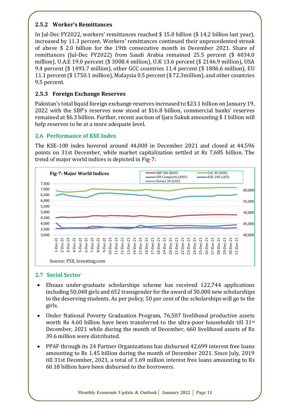# **2.5.2 Worker's Remittances**

In Jul-Dec FY2022, workers' remittances reached \$ 15.8 billion (\$ 14.2 billion last year), increased by 11.3 percent. Workers' remittances continued their unprecedented streak of above \$ 2.0 billion for the 19th consecutive month in December 2021. Share of remittances (Jul-Dec FY2022) from Saudi Arabia remained 25.5 percent (\$ 4034.0 million), U.A.E 19.0 percent (\$ 3008.4 million), U.K 13.6 percent (\$ 2146.9 million), USA 9.4 percent (\$ 1493.7 million), other GCC countries 11.4 percent (\$ 1806.6 million), EU 11.1 percent (\$ 1750.1 million), Malaysia 0.5 percent (\$ 72.3million), and other countries 9.5 percent.

# **2.5.3 Foreign Exchange Reserves**

Pakistan's total liquid foreign exchange reserves increased to \$23.1 billion on January 19, 2022 with the SBP's reserves now stood at \$16.8 billion, commercial banks' reserves remained at \$6.3 billion. Further, recent auction of Ijara Sukuk amounting \$ 1 billion will help reserves to be at a more adequate level.

# **2.6 Performance of KSE Index**

The KSE-100 index hovered around 44,000 in December 2021 and closed at 44,596 points on 31st December, while market capitalization settled at Rs 7,685 billion. The trend of major world indices is depicted in Fig-7:



# **2.7 Social Sector**

- Ehsaas under-graduate scholarships scheme has received 122,744 applications including 50,048 girls and 652 transgender for the award of 50,000 new scholarships to the deserving students. As per policy, 50 per cent of the scholarships will go to the girls.
- Under National Poverty Graduation Program, 76,507 livelihood productive assets worth Rs 4.60 billion have been transferred to the ultra-poor households till  $31<sup>st</sup>$ December, 2021 while during the month of December, 660 livelihood assets of Rs 39.6 million were distributed.
- PPAF through its 24 Partner Organizations has disbursed 42,699 interest free loans amounting to Rs 1.45 billion during the month of December 2021. Since July, 2019 till 31st December, 2021, a total of 1.69 million interest free loans amounting to Rs 60.18 billion have been disbursed to the borrowers.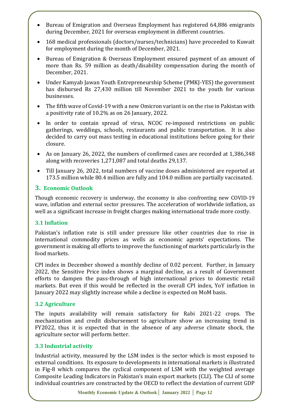- Bureau of Emigration and Overseas Employment has registered 64,886 emigrants during December, 2021 for overseas employment in different countries.
- 168 medical professionals (doctors/nurses/technicians) have proceeded to Kuwait for employment during the month of December, 2021.
- Bureau of Emigration & Overseas Employment ensured payment of an amount of more than Rs. 59 million as death/disability compensation during the month of December, 2021.
- Under Kamyab Jawan Youth Entrepreneurship Scheme (PMKJ-YES) the government has disbursed Rs 27,430 million till November 2021 to the youth for various businesses.
- The fifth wave of Covid-19 with a new Omicron variant is on the rise in Pakistan with a positivity rate of 10.2% as on 26 January, 2022.
- In order to contain spread of virus, NCOC re-imposed restrictions on public gatherings, weddings, schools, restaurants and public transportation. It is also decided to carry out mass testing in educational institutions before going for their closure.
- As on January 26, 2022, the numbers of confirmed cases are recorded at 1,386,348 along with recoveries 1,271,087 and total deaths 29,137.
- Till January 26, 2022, total numbers of vaccine doses administered are reported at 173.5 million while 80.4 million are fully and 104.0 million are partially vaccinated.

# **3. Economic Outlook**

Though economic recovery is underway, the economy is also confronting new COVID-19 wave, inflation and external sector pressures. The acceleration of worldwide inflation, as well as a significant increase in freight charges making international trade more costly.

# **3.1 Inflation**

Pakistan's inflation rate is still under pressure like other countries due to rise in international commodity prices as wells as economic agents' expectations. The government is making all efforts to improve the functioning of markets particularly in the food markets.

CPI index in December showed a monthly decline of 0.02 percent. Further, in January 2022, the Sensitive Price index shows a marginal decline, as a result of Government efforts to dampen the pass-through of high international prices to domestic retail markets. But even if this would be reflected in the overall CPI index, YoY inflation in January 2022 may slightly increase while a decline is expected on MoM basis.

# **3.2 Agriculture**

The inputs availability will remain satisfactory for Rabi 2021-22 crops. The mechanization and credit disbursement to agriculture show an increasing trend in FY2022, thus it is expected that in the absence of any adverse climate shock, the agriculture sector will perform better.

## **3.3 Industrial activity**

Industrial activity, measured by the LSM index is the sector which is most exposed to external conditions. Its exposure to developments in international markets is illustrated in Fig-8 which compares the cyclical component of LSM with the weighted average Composite Leading Indicators in Pakistan's main export markets (CLI). The CLI of some individual countries are constructed by the OECD to reflect the deviation of current GDP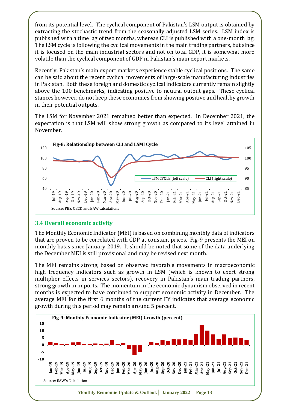from its potential level. The cyclical component of Pakistan's LSM output is obtained by extracting the stochastic trend from the seasonally adjusted LSM series. LSM index is published with a time lag of two months, whereas CLI is published with a one-month lag. The LSM cycle is following the cyclical movements in the main trading partners, but since it is focused on the main industrial sectors and not on total GDP, it is somewhat more volatile than the cyclical component of GDP in Pakistan's main export markets.

Recently, Pakistan's main export markets experience stable cyclical positions. The same can be said about the recent cyclical movements of large-scale manufacturing industries in Pakistan. Both these foreign and domestic cyclical indicators currently remain slightly above the 100 benchmarks, indicating positive to neutral output gaps. These cyclical stances however, do not keep these economies from showing positive and healthy growth in their potential outputs.

The LSM for November 2021 remained better than expected. In December 2021, the expectation is that LSM will show strong growth as compared to its level attained in November.



## **3.4 Overall economic activity**

The Monthly Economic Indicator (MEI) is based on combining monthly data of indicators that are proven to be correlated with GDP at constant prices. Fig-9 presents the MEI on monthly basis since January 2019. It should be noted that some of the data underlying the December MEI is still provisional and may be revised next month.

The MEI remains strong, based on observed favorable movements in macroeconomic high frequency indicators such as growth in LSM (which is known to exert strong multiplier effects in services sectors), recovery in Pakistan's main trading partners, strong growth in imports. The momentum in the economic dynamism observed in recent months is expected to have continued to support economic activity in December. The average MEI for the first 6 months of the current FY indicates that average economic growth during this period may remain around 5 percent.

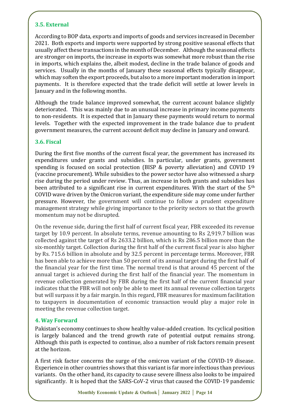# **3.5. External**

According to BOP data, exports and imports of goods and services increased in December 2021. Both exports and imports were supported by strong positive seasonal effects that usually affect these transactions in the month of December. Although the seasonal effects are stronger on imports, the increase in exports was somewhat more robust than the rise in imports, which explains the, albeit modest, decline in the trade balance of goods and services. Usually in the months of January these seasonal effects typically disappear, which may soften the export proceeds, but also to a more important moderation in import payments. It is therefore expected that the trade deficit will settle at lower levels in January and in the following months.

Although the trade balance improved somewhat, the current account balance slightly deteriorated. This was mainly due to an unusual increase in primary income payments to non-residents. It is expected that in January these payments would return to normal levels. Together with the expected improvement in the trade balance due to prudent government measures, the current account deficit may decline in January and onward.

## **3.6. Fiscal**

During the first five months of the current fiscal year, the government has increased its expenditures under grants and subsidies. In particular, under grants, government spending is focused on social protection (BISP & poverty alleviation) and COVID 19 (vaccine procurement). While subsidies to the power sector have also witnessed a sharp rise during the period under review. Thus, an increase in both grants and subsidies has been attributed to a significant rise in current expenditures. With the start of the 5<sup>th</sup> COVID wave driven by the Omicron variant, the expenditure side may come under further pressure. However, the government will continue to follow a prudent expenditure management strategy while giving importance to the priority sectors so that the growth momentum may not be disrupted.

On the revenue side, during the first half of current fiscal year, FBR exceeded its revenue target by 10.9 percent. In absolute terms, revenue amounting to Rs 2,919.7 billion was collected against the target of Rs 2633.2 billion, which is Rs 286.5 billion more than the six-monthly target. Collection during the first half of the current fiscal year is also higher by Rs. 715.6 billion in absolute and by 32.5 percent in percentage terms. Moreover, FBR has been able to achieve more than 50 percent of its annual target during the first half of the financial year for the first time. The normal trend is that around 45 percent of the annual target is achieved during the first half of the financial year. The momentum in revenue collection generated by FBR during the first half of the current financial year indicates that the FBR will not only be able to meet its annual revenue collection targets but will surpass it by a fair margin. In this regard, FBR measures for maximum facilitation to taxpayers in documentation of economic transaction would play a major role in meeting the revenue collection target.

## **4. Way Forward**

Pakistan's economy continues to show healthy value-added creation. Its cyclical position is largely balanced and the trend growth rate of potential output remains strong. Although this path is expected to continue, also a number of risk factors remain present at the horizon.

A first risk factor concerns the surge of the omicron variant of the COVID-19 disease. Experience in other countries shows that this variant is far more infectious than previous variants. On the other hand, its capacity to cause severe illness also looks to be impaired significantly. It is hoped that the SARS-CoV-2 virus that caused the COVID-19 pandemic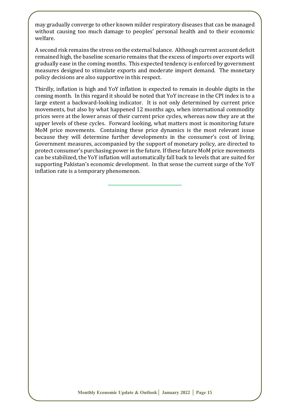may gradually converge to other known milder respiratory diseases that can be managed without causing too much damage to peoples' personal health and to their economic welfare.

A second risk remains the stress on the external balance. Although current account deficit remained high, the baseline scenario remains that the excess of imports over exports will gradually ease in the coming months. This expected tendency is enforced by government measures designed to stimulate exports and moderate import demand. The monetary policy decisions are also supportive in this respect.

Thirdly, inflation is high and YoY inflation is expected to remain in double digits in the coming month. In this regard it should be noted that YoY increase in the CPI index is to a large extent a backward-looking indicator. It is not only determined by current price movements, but also by what happened 12 months ago, when international commodity prices were at the lower areas of their current price cycles, whereas now they are at the upper levels of these cycles. Forward looking, what matters most is monitoring future MoM price movements. Containing these price dynamics is the most relevant issue because they will determine further developments in the consumer's cost of living. Government measures, accompanied by the support of monetary policy, are directed to protect consumer's purchasing power in the future. If these future MoM price movements can be stabilized, the YoY inflation will automatically fall back to levels that are suited for supporting Pakistan's economic development. In that sense the current surge of the YoY inflation rate is a temporary phenomenon.

**\_\_\_\_\_\_\_\_\_\_\_\_\_\_\_\_\_\_\_\_\_\_\_\_\_\_\_\_\_\_\_\_\_\_**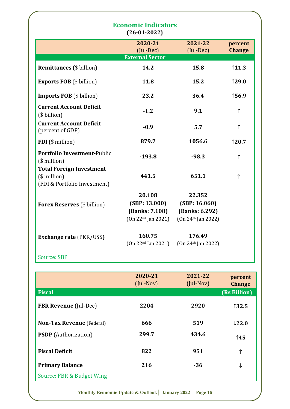|                                                                                     | <b>Economic Indicators</b><br>$(26-01-2022)$                      |                                                                   |                          |
|-------------------------------------------------------------------------------------|-------------------------------------------------------------------|-------------------------------------------------------------------|--------------------------|
|                                                                                     | 2020-21<br>$(Jul-Dec)$<br><b>External Sector</b>                  | 2021-22<br>(Jul-Dec)                                              | percent<br><b>Change</b> |
| <b>Remittances</b> (\$ billion)                                                     | 14.2                                                              | 15.8                                                              | 11.3                     |
| <b>Exports FOB</b> (\$ billion)                                                     | 11.8                                                              | 15.2                                                              | <b>129.0</b>             |
| <b>Imports FOB</b> (\$ billion)                                                     | 23.2                                                              | 36.4                                                              | 156.9                    |
| <b>Current Account Deficit</b><br>(\$ billion)                                      | $-1.2$                                                            | 9.1                                                               | ↑                        |
| <b>Current Account Deficit</b><br>(percent of GDP)                                  | $-0.9$                                                            | 5.7                                                               | $\uparrow$               |
| FDI (\$ million)                                                                    | 879.7                                                             | 1056.6                                                            | 120.7                    |
| <b>Portfolio Investment-Public</b><br>$($$ million $)$                              | $-193.8$                                                          | $-98.3$                                                           | $\uparrow$               |
| <b>Total Foreign Investment</b><br>$($$ million $)$<br>(FDI & Portfolio Investment) | 441.5                                                             | 651.1                                                             | $\uparrow$               |
| <b>Forex Reserves</b> (\$ billion)                                                  | 20.108<br>(SBP: 13.000)<br>(Banks: 7.108)<br>$(0n 22nd$ Jan 2021) | 22.352<br>(SBP: 16.060)<br>(Banks: 6.292)<br>$(0n 24th$ Jan 2022) |                          |
| <b>Exchange rate (PKR/US\$)</b>                                                     | 160.75<br>$(0n 22nd$ Jan 2021)                                    | 176.49<br>$(0n 24th$ Jan 2022)                                    |                          |
|                                                                                     |                                                                   |                                                                   |                          |

|                                  | 2020-21<br>$($ Jul-Nov $)$ | 2021-22<br>$($ Jul-Nov $)$ | percent<br><b>Change</b> |
|----------------------------------|----------------------------|----------------------------|--------------------------|
| <b>Fiscal</b>                    |                            |                            | (Rs Billion)             |
| <b>FBR Revenue</b> (Jul-Dec)     | 2204                       | 2920                       | 132.5                    |
| <b>Non-Tax Revenue</b> (Federal) | 666                        | 519                        | 122.0                    |
| <b>PSDP</b> (Authorization)      | 299.7                      | 434.6                      | 145                      |
| <b>Fiscal Deficit</b>            | 822                        | 951                        | ↑                        |
| <b>Primary Balance</b>           | 216                        | $-36$                      | ↓                        |
| Source: FBR & Budget Wing        |                            |                            |                          |